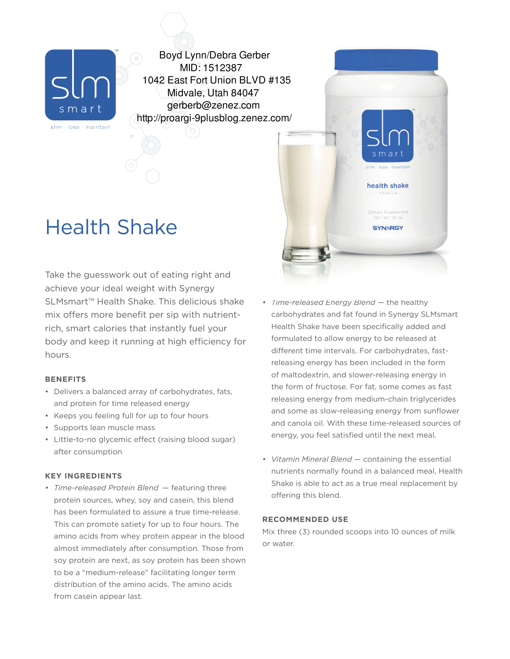

Boyd Lynn/Debra Gerber MID: 1512387 1042 East Fort Union BLVD #135 Midvale, Utah 84047 gerberb@zenez.com http://proargi-9plusblog.zenez.com/

# Health Shake

Take the guesswork out of eating right and achieve your ideal weight with Synergy SLMsmart™ Health Shake. This delicious shake mix offers more benefit per sip with nutrientrich, smart calories that instantly fuel your body and keep it running at high efficiency for hours.

# **BENEFITS**

- Delivers a balanced array of carbohydrates, fats, and protein for time released energy
- Keeps you feeling full for up to four hours
- Supports lean muscle mass
- Little-to-no glycemic effect (raising blood sugar) after consumption

## **KEY INGREDIENTS**

*• Time-released Protein Blend* — featuring three protein sources, whey, soy and casein, this blend has been formulated to assure a true time-release. This can promote satiety for up to four hours. The amino acids from whey protein appear in the blood almost immediately after consumption. Those from soy protein are next, as soy protein has been shown to be a "medium-release" facilitating longer term distribution of the amino acids. The amino acids from casein appear last.



- *• Time-released Energy Blend* the healthy carbohydrates and fat found in Synergy SLMsmart Health Shake have been specifically added and formulated to allow energy to be released at different time intervals. For carbohydrates, fastreleasing energy has been included in the form of maltodextrin, and slower-releasing energy in the form of fructose. For fat, some comes as fast releasing energy from medium-chain triglycerides and some as slow-releasing energy from sunflower and canola oil. With these time-released sources of energy, you feel satisfied until the next meal.
- *• Vitamin Mineral Blend* containing the essential nutrients normally found in a balanced meal, Health Shake is able to act as a true meal replacement by offering this blend.

#### **RECOMMENDED USE**

Mix three (3) rounded scoops into 10 ounces of milk or water.